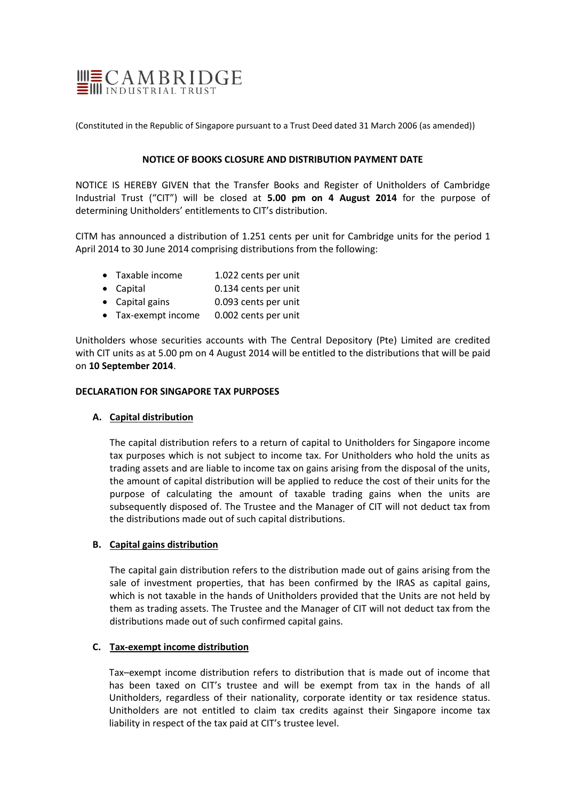

(Constituted in the Republic of Singapore pursuant to a Trust Deed dated 31 March 2006 (as amended))

## **NOTICE OF BOOKS CLOSURE AND DISTRIBUTION PAYMENT DATE**

NOTICE IS HEREBY GIVEN that the Transfer Books and Register of Unitholders of Cambridge Industrial Trust ("CIT") will be closed at **5.00 pm on 4 August 2014** for the purpose of determining Unitholders' entitlements to CIT's distribution.

CITM has announced a distribution of 1.251 cents per unit for Cambridge units for the period 1 April 2014 to 30 June 2014 comprising distributions from the following:

- Taxable income 1.022 cents per unit
- Capital 0.134 cents per unit
- Capital gains 0.093 cents per unit
- Tax-exempt income 0.002 cents per unit

Unitholders whose securities accounts with The Central Depository (Pte) Limited are credited with CIT units as at 5.00 pm on 4 August 2014 will be entitled to the distributions that will be paid on **10 September 2014**.

#### **DECLARATION FOR SINGAPORE TAX PURPOSES**

## **A. Capital distribution**

The capital distribution refers to a return of capital to Unitholders for Singapore income tax purposes which is not subject to income tax. For Unitholders who hold the units as trading assets and are liable to income tax on gains arising from the disposal of the units, the amount of capital distribution will be applied to reduce the cost of their units for the purpose of calculating the amount of taxable trading gains when the units are subsequently disposed of. The Trustee and the Manager of CIT will not deduct tax from the distributions made out of such capital distributions.

## **B. Capital gains distribution**

The capital gain distribution refers to the distribution made out of gains arising from the sale of investment properties, that has been confirmed by the IRAS as capital gains, which is not taxable in the hands of Unitholders provided that the Units are not held by them as trading assets. The Trustee and the Manager of CIT will not deduct tax from the distributions made out of such confirmed capital gains.

## **C. Tax-exempt income distribution**

Tax–exempt income distribution refers to distribution that is made out of income that has been taxed on CIT's trustee and will be exempt from tax in the hands of all Unitholders, regardless of their nationality, corporate identity or tax residence status. Unitholders are not entitled to claim tax credits against their Singapore income tax liability in respect of the tax paid at CIT's trustee level.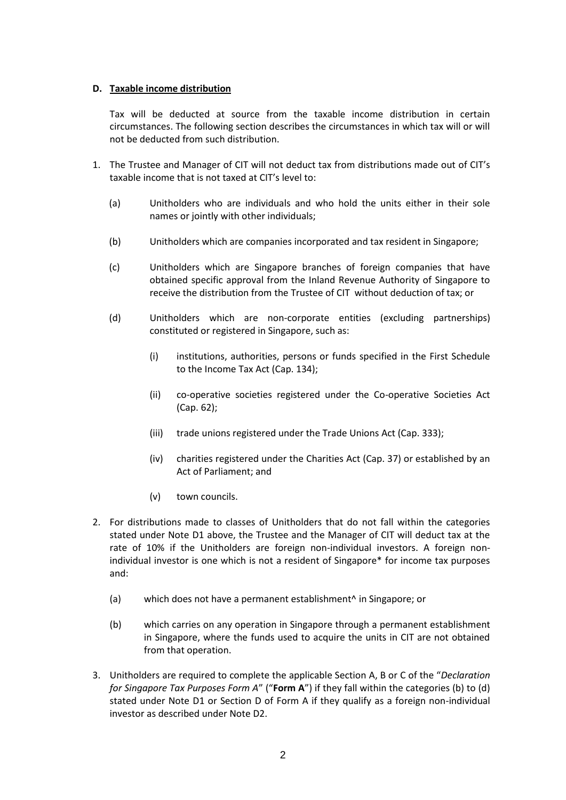# **D. Taxable income distribution**

Tax will be deducted at source from the taxable income distribution in certain circumstances. The following section describes the circumstances in which tax will or will not be deducted from such distribution.

- 1. The Trustee and Manager of CIT will not deduct tax from distributions made out of CIT's taxable income that is not taxed at CIT's level to:
	- (a) Unitholders who are individuals and who hold the units either in their sole names or jointly with other individuals;
	- (b) Unitholders which are companies incorporated and tax resident in Singapore;
	- (c) Unitholders which are Singapore branches of foreign companies that have obtained specific approval from the Inland Revenue Authority of Singapore to receive the distribution from the Trustee of CIT without deduction of tax; or
	- (d) Unitholders which are non-corporate entities (excluding partnerships) constituted or registered in Singapore, such as:
		- (i) institutions, authorities, persons or funds specified in the First Schedule to the Income Tax Act (Cap. 134);
		- (ii) co-operative societies registered under the Co-operative Societies Act (Cap. 62);
		- (iii) trade unions registered under the Trade Unions Act (Cap. 333);
		- (iv) charities registered under the Charities Act (Cap. 37) or established by an Act of Parliament; and
		- (v) town councils.
- 2. For distributions made to classes of Unitholders that do not fall within the categories stated under Note D1 above, the Trustee and the Manager of CIT will deduct tax at the rate of 10% if the Unitholders are foreign non-individual investors. A foreign nonindividual investor is one which is not a resident of Singapore\* for income tax purposes and:
	- (a) which does not have a permanent establishment^ in Singapore; or
	- (b) which carries on any operation in Singapore through a permanent establishment in Singapore, where the funds used to acquire the units in CIT are not obtained from that operation.
- 3. Unitholders are required to complete the applicable Section A, B or C of the "*Declaration for Singapore Tax Purposes Form A*" ("**Form A**") if they fall within the categories (b) to (d) stated under Note D1 or Section D of Form A if they qualify as a foreign non-individual investor as described under Note D2.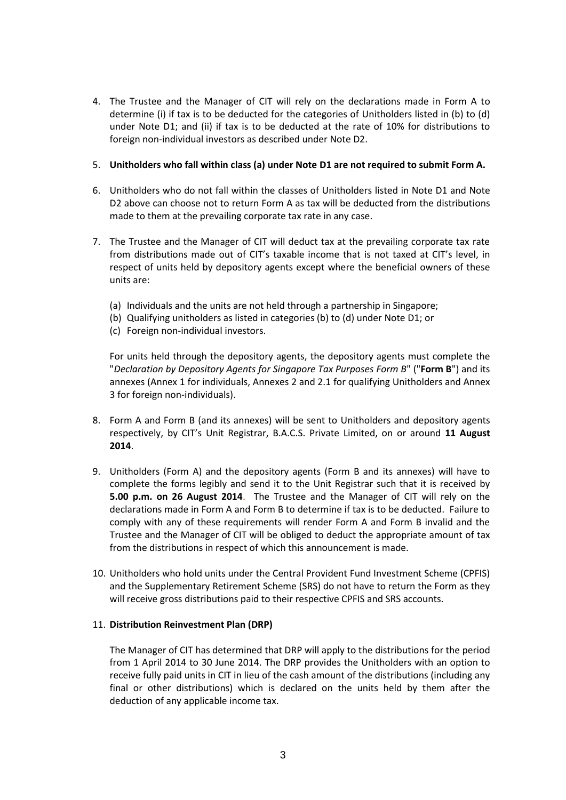4. The Trustee and the Manager of CIT will rely on the declarations made in Form A to determine (i) if tax is to be deducted for the categories of Unitholders listed in (b) to (d) under Note D1; and (ii) if tax is to be deducted at the rate of 10% for distributions to foreign non-individual investors as described under Note D2.

# 5. **Unitholders who fall within class (a) under Note D1 are not required to submit Form A.**

- 6. Unitholders who do not fall within the classes of Unitholders listed in Note D1 and Note D2 above can choose not to return Form A as tax will be deducted from the distributions made to them at the prevailing corporate tax rate in any case.
- 7. The Trustee and the Manager of CIT will deduct tax at the prevailing corporate tax rate from distributions made out of CIT's taxable income that is not taxed at CIT's level, in respect of units held by depository agents except where the beneficial owners of these units are:
	- (a) Individuals and the units are not held through a partnership in Singapore;
	- (b) Qualifying unitholders as listed in categories (b) to (d) under Note D1; or
	- (c) Foreign non-individual investors.

For units held through the depository agents, the depository agents must complete the "*Declaration by Depository Agents for Singapore Tax Purposes Form B*" ("**Form B**") and its annexes (Annex 1 for individuals, Annexes 2 and 2.1 for qualifying Unitholders and Annex 3 for foreign non-individuals).

- 8. Form A and Form B (and its annexes) will be sent to Unitholders and depository agents respectively, by CIT's Unit Registrar, B.A.C.S. Private Limited, on or around **11 August 2014**.
- 9. Unitholders (Form A) and the depository agents (Form B and its annexes) will have to complete the forms legibly and send it to the Unit Registrar such that it is received by **5.00 p.m. on 26 August 2014**. The Trustee and the Manager of CIT will rely on the declarations made in Form A and Form B to determine if tax is to be deducted. Failure to comply with any of these requirements will render Form A and Form B invalid and the Trustee and the Manager of CIT will be obliged to deduct the appropriate amount of tax from the distributions in respect of which this announcement is made.
- 10. Unitholders who hold units under the Central Provident Fund Investment Scheme (CPFIS) and the Supplementary Retirement Scheme (SRS) do not have to return the Form as they will receive gross distributions paid to their respective CPFIS and SRS accounts.

## 11. **Distribution Reinvestment Plan (DRP)**

The Manager of CIT has determined that DRP will apply to the distributions for the period from 1 April 2014 to 30 June 2014. The DRP provides the Unitholders with an option to receive fully paid units in CIT in lieu of the cash amount of the distributions (including any final or other distributions) which is declared on the units held by them after the deduction of any applicable income tax.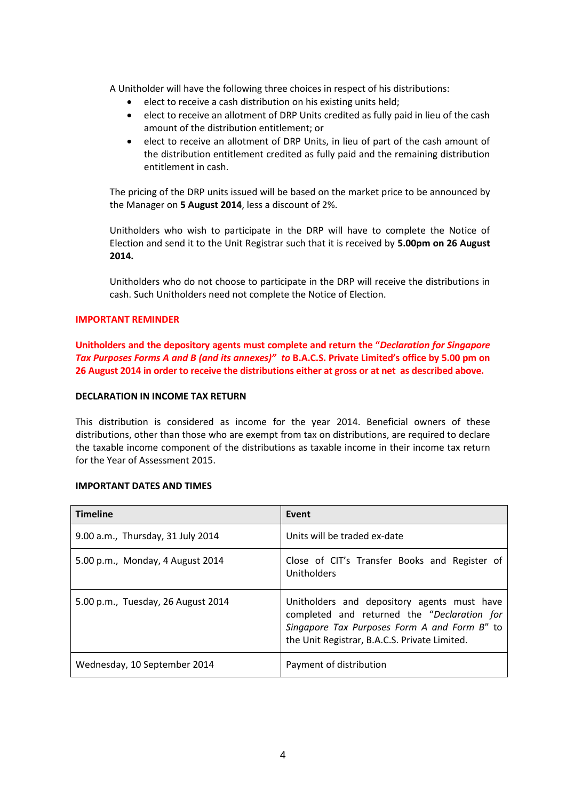A Unitholder will have the following three choices in respect of his distributions:

- elect to receive a cash distribution on his existing units held;
- elect to receive an allotment of DRP Units credited as fully paid in lieu of the cash amount of the distribution entitlement; or
- elect to receive an allotment of DRP Units, in lieu of part of the cash amount of the distribution entitlement credited as fully paid and the remaining distribution entitlement in cash.

The pricing of the DRP units issued will be based on the market price to be announced by the Manager on **5 August 2014**, less a discount of 2%.

Unitholders who wish to participate in the DRP will have to complete the Notice of Election and send it to the Unit Registrar such that it is received by **5.00pm on 26 August 2014.**

Unitholders who do not choose to participate in the DRP will receive the distributions in cash. Such Unitholders need not complete the Notice of Election.

## **IMPORTANT REMINDER**

**Unitholders and the depository agents must complete and return the "***Declaration for Singapore Tax Purposes Forms A and B (and its annexes)" to* **B.A.C.S. Private Limited's office by 5.00 pm on 26 August 2014 in order to receive the distributions either at gross or at net as described above.**

#### **DECLARATION IN INCOME TAX RETURN**

This distribution is considered as income for the year 2014. Beneficial owners of these distributions, other than those who are exempt from tax on distributions, are required to declare the taxable income component of the distributions as taxable income in their income tax return for the Year of Assessment 2015.

## **IMPORTANT DATES AND TIMES**

| <b>Timeline</b>                    | Event                                                                                                                                                                                       |
|------------------------------------|---------------------------------------------------------------------------------------------------------------------------------------------------------------------------------------------|
| 9.00 a.m., Thursday, 31 July 2014  | Units will be traded ex-date                                                                                                                                                                |
| 5.00 p.m., Monday, 4 August 2014   | Close of CIT's Transfer Books and Register of<br>Unitholders                                                                                                                                |
| 5.00 p.m., Tuesday, 26 August 2014 | Unitholders and depository agents must have<br>completed and returned the "Declaration for<br>Singapore Tax Purposes Form A and Form B" to<br>the Unit Registrar, B.A.C.S. Private Limited. |
| Wednesday, 10 September 2014       | Payment of distribution                                                                                                                                                                     |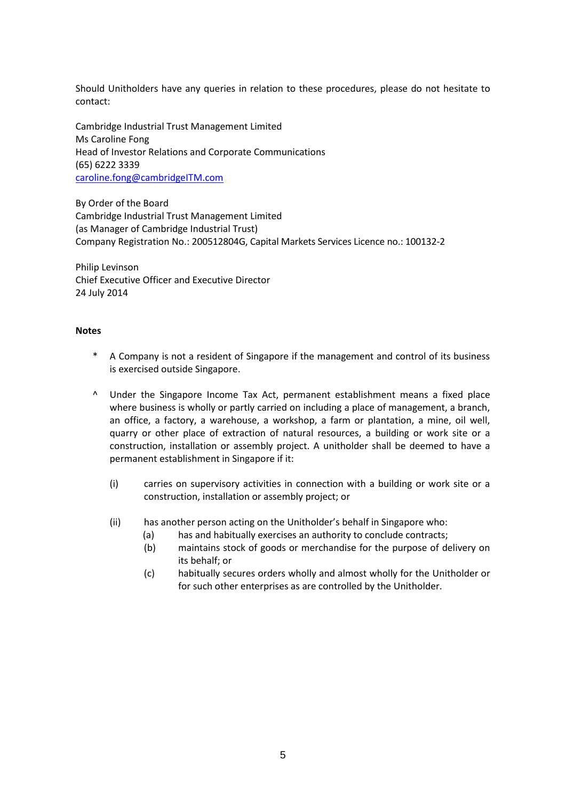Should Unitholders have any queries in relation to these procedures, please do not hesitate to contact:

Cambridge Industrial Trust Management Limited Ms Caroline Fong Head of Investor Relations and Corporate Communications (65) 6222 3339 caroline.fong@cambridgeITM.com

By Order of the Board Cambridge Industrial Trust Management Limited (as Manager of Cambridge Industrial Trust) Company Registration No.: 200512804G, Capital Markets Services Licence no.: 100132-2

Philip Levinson Chief Executive Officer and Executive Director 24 July 2014

#### **Notes**

- A Company is not a resident of Singapore if the management and control of its business is exercised outside Singapore.
- ^ Under the Singapore Income Tax Act, permanent establishment means a fixed place where business is wholly or partly carried on including a place of management, a branch, an office, a factory, a warehouse, a workshop, a farm or plantation, a mine, oil well, quarry or other place of extraction of natural resources, a building or work site or a construction, installation or assembly project. A unitholder shall be deemed to have a permanent establishment in Singapore if it:
	- (i) carries on supervisory activities in connection with a building or work site or a construction, installation or assembly project; or
	- (ii) has another person acting on the Unitholder's behalf in Singapore who:
		- (a) has and habitually exercises an authority to conclude contracts;
		- (b) maintains stock of goods or merchandise for the purpose of delivery on its behalf; or
		- (c) habitually secures orders wholly and almost wholly for the Unitholder or for such other enterprises as are controlled by the Unitholder.